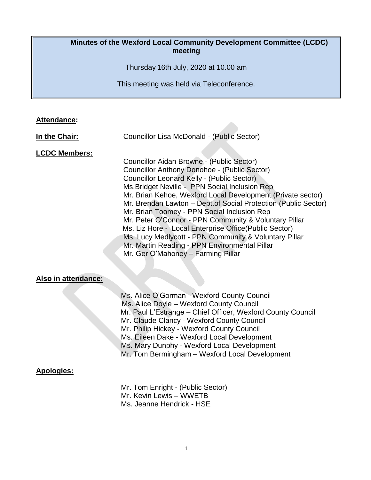### **Minutes of the Wexford Local Community Development Committee (LCDC) meeting**

Thursday 16th July, 2020 at 10.00 am

This meeting was held via Teleconference.

### **Attendance:**

**In the Chair:** Councillor Lisa McDonald - (Public Sector)

#### **LCDC Members:**

Councillor Aidan Browne - (Public Sector) Councillor Anthony Donohoe - (Public Sector) Councillor Leonard Kelly - (Public Sector) Ms.Bridget Neville - PPN Social Inclusion Rep Mr. Brian Kehoe, Wexford Local Development (Private sector) Mr. Brendan Lawton – Dept.of Social Protection (Public Sector) Mr. Brian Toomey - PPN Social Inclusion Rep Mr. Peter O'Connor - PPN Community & Voluntary Pillar Ms. Liz Hore - Local Enterprise Office(Public Sector) Ms. Lucy Medlycott - PPN Community & Voluntary Pillar Mr. Martin Reading - PPN Environmental Pillar Mr. Ger O'Mahoney – Farming Pillar

#### **Also in attendance:**

 Ms. Alice O'Gorman - Wexford County Council Ms. Alice Doyle – Wexford County Council Mr. Paul L'Estrange – Chief Officer, Wexford County Council Mr. Claude Clancy - Wexford County Council Mr. Philip Hickey - Wexford County Council Ms. Eileen Dake - Wexford Local Development Ms. Mary Dunphy - Wexford Local Development Mr. Tom Bermingham – Wexford Local Development

## **Apologies:**

Mr. Tom Enright - (Public Sector) Mr. Kevin Lewis – WWETB Ms. Jeanne Hendrick - HSE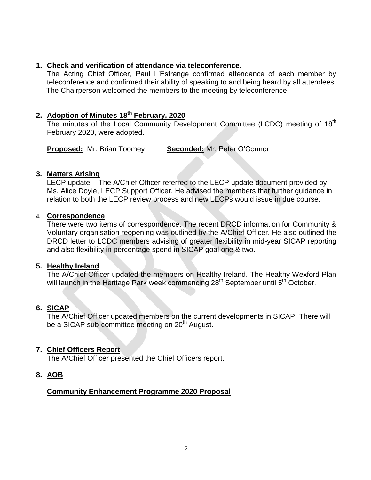### **1. Check and verification of attendance via teleconference.**

The Acting Chief Officer, Paul L'Estrange confirmed attendance of each member by teleconference and confirmed their ability of speaking to and being heard by all attendees. The Chairperson welcomed the members to the meeting by teleconference.

## **2. Adoption of Minutes 18 th February, 2020**

The minutes of the Local Community Development Committee (LCDC) meeting of 18<sup>th</sup> February 2020, were adopted.

**Proposed:** Mr. Brian Toomey **Seconded:** Mr. Peter O'Connor

#### **3. Matters Arising**

LECP update - The A/Chief Officer referred to the LECP update document provided by Ms. Alice Doyle, LECP Support Officer. He advised the members that further guidance in relation to both the LECP review process and new LECPs would issue in due course.

#### **4. Correspondence**

There were two items of correspondence. The recent DRCD information for Community & Voluntary organisation reopening was outlined by the A/Chief Officer. He also outlined the DRCD letter to LCDC members advising of greater flexibility in mid-year SICAP reporting and also flexibility in percentage spend in SICAP goal one & two.

#### **5. Healthy Ireland**

The A/Chief Officer updated the members on Healthy Ireland. The Healthy Wexford Plan will launch in the Heritage Park week commencing 28<sup>th</sup> September until 5<sup>th</sup> October.

## **6. SICAP**

The A/Chief Officer updated members on the current developments in SICAP. There will be a SICAP sub-committee meeting on 20<sup>th</sup> August.

## **7. Chief Officers Report**

The A/Chief Officer presented the Chief Officers report.

## **8. AOB**

## **Community Enhancement Programme 2020 Proposal**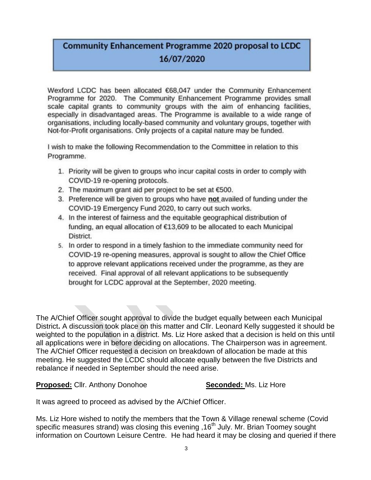# **Community Enhancement Programme 2020 proposal to LCDC** 16/07/2020

Wexford LCDC has been allocated €68,047 under the Community Enhancement Programme for 2020. The Community Enhancement Programme provides small scale capital grants to community groups with the aim of enhancing facilities, especially in disadvantaged areas. The Programme is available to a wide range of organisations, including locally-based community and voluntary groups, together with Not-for-Profit organisations. Only projects of a capital nature may be funded.

I wish to make the following Recommendation to the Committee in relation to this Programme.

- 1. Priority will be given to groups who incur capital costs in order to comply with COVID-19 re-opening protocols.
- 2. The maximum grant aid per project to be set at  $€500$ .
- 3. Preference will be given to groups who have not availed of funding under the COVID-19 Emergency Fund 2020, to carry out such works.
- 4. In the interest of fairness and the equitable geographical distribution of funding, an equal allocation of €13,609 to be allocated to each Municipal District.
- 5. In order to respond in a timely fashion to the immediate community need for COVID-19 re-opening measures, approval is sought to allow the Chief Office to approve relevant applications received under the programme, as they are received. Final approval of all relevant applications to be subsequently brought for LCDC approval at the September, 2020 meeting.

The A/Chief Officer sought approval to divide the budget equally between each Municipal District**.** A discussion took place on this matter and Cllr. Leonard Kelly suggested it should be weighted to the population in a district. Ms. Liz Hore asked that a decision is held on this until all applications were in before deciding on allocations. The Chairperson was in agreement. The A/Chief Officer requested a decision on breakdown of allocation be made at this meeting. He suggested the LCDC should allocate equally between the five Districts and rebalance if needed in September should the need arise.

**Proposed:** Cllr. Anthony Donohoe **Seconded:** Ms. Liz Hore

It was agreed to proceed as advised by the A/Chief Officer.

Ms. Liz Hore wished to notify the members that the Town & Village renewal scheme (Covid specific measures strand) was closing this evening , 16<sup>th</sup> July. Mr. Brian Toomey sought information on Courtown Leisure Centre. He had heard it may be closing and queried if there